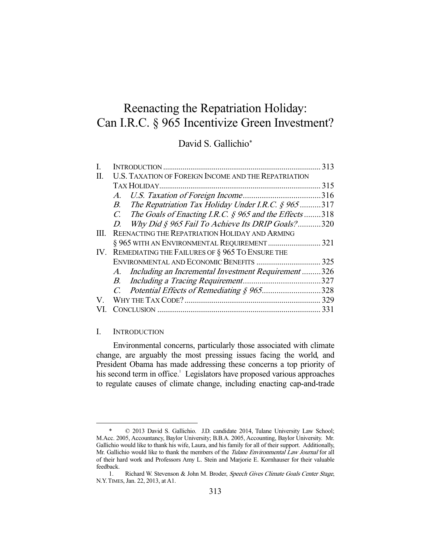# Reenacting the Repatriation Holiday: Can I.R.C. § 965 Incentivize Green Investment?

## David S. Gallichio\*

|      |                                                                              | 313  |
|------|------------------------------------------------------------------------------|------|
| П.   | U.S. TAXATION OF FOREIGN INCOME AND THE REPATRIATION                         |      |
|      |                                                                              | 315  |
|      | $A_{\cdot}$                                                                  | .316 |
|      | The Repatriation Tax Holiday Under I.R.C. $\hat{g}$ 965<br>B.                | 317  |
|      | The Goals of Enacting I.R.C. $\hat{S}$ 965 and the Effects318<br>$C_{\cdot}$ |      |
|      | Why Did § 965 Fail To Achieve Its DRIP Goals?<br>D.                          | .320 |
| III. | REENACTING THE REPATRIATION HOLIDAY AND ARMING                               |      |
|      | § 965 WITH AN ENVIRONMENTAL REQUIREMENT                                      | 321  |
| IV.  | REMEDIATING THE FAILURES OF § 965 TO ENSURE THE                              |      |
|      |                                                                              | 325  |
|      | Including an Incremental Investment Requirement<br>A.                        | 326  |
|      | B.                                                                           | 327  |
|      | Potential Effects of Remediating § 965328                                    |      |
| V.   |                                                                              |      |
|      |                                                                              | 331  |
|      |                                                                              |      |

## I. INTRODUCTION

-

 Environmental concerns, particularly those associated with climate change, are arguably the most pressing issues facing the world, and President Obama has made addressing these concerns a top priority of his second term in office.<sup>1</sup> Legislators have proposed various approaches to regulate causes of climate change, including enacting cap-and-trade

 <sup>\* © 2013</sup> David S. Gallichio. J.D. candidate 2014, Tulane University Law School; M.Acc. 2005, Accountancy, Baylor University; B.B.A. 2005, Accounting, Baylor University. Mr. Gallichio would like to thank his wife, Laura, and his family for all of their support. Additionally, Mr. Gallichio would like to thank the members of the Tulane Environmental Law Journal for all of their hard work and Professors Amy L. Stein and Marjorie E. Kornhauser for their valuable feedback.

<sup>1.</sup> Richard W. Stevenson & John M. Broder, Speech Gives Climate Goals Center Stage, N.Y.TIMES, Jan. 22, 2013, at A1.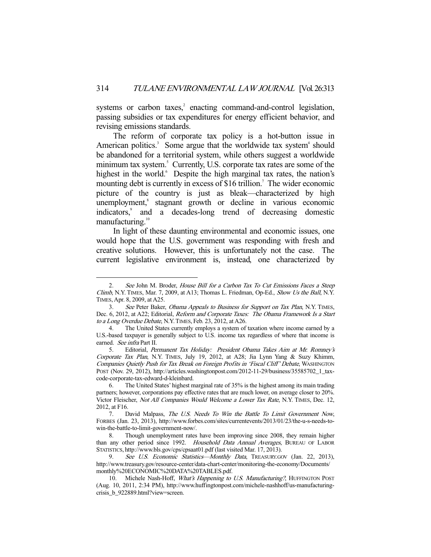systems or carbon taxes, $2$  enacting command-and-control legislation, passing subsidies or tax expenditures for energy efficient behavior, and revising emissions standards.

 The reform of corporate tax policy is a hot-button issue in American politics.<sup>3</sup> Some argue that the worldwide tax system<sup>4</sup> should be abandoned for a territorial system, while others suggest a worldwide minimum tax system.<sup>5</sup> Currently, U.S. corporate tax rates are some of the highest in the world. Despite the high marginal tax rates, the nation's mounting debt is currently in excess of \$16 trillion.<sup>7</sup> The wider economic picture of the country is just as bleak—characterized by high unemployment,<sup>8</sup> stagnant growth or decline in various economic indicators,<sup>9</sup> and a decades-long trend of decreasing domestic manufacturing.<sup>10</sup>

 In light of these daunting environmental and economic issues, one would hope that the U.S. government was responding with fresh and creative solutions. However, this is unfortunately not the case. The current legislative environment is, instead, one characterized by

See John M. Broder, House Bill for a Carbon Tax To Cut Emissions Faces a Steep Climb, N.Y. TIMES, Mar. 7, 2009, at A13; Thomas L. Friedman, Op-Ed., Show Us the Ball, N.Y. TIMES, Apr. 8, 2009, at A25.

<sup>3.</sup> See Peter Baker, Obama Appeals to Business for Support on Tax Plan, N.Y. TIMES, Dec. 6, 2012, at A22; Editorial, Reform and Corporate Taxes: The Obama Framework Is a Start to a Long Overdue Debate, N.Y.TIMES, Feb. 23, 2012, at A26.

 <sup>4.</sup> The United States currently employs a system of taxation where income earned by a U.S.-based taxpayer is generally subject to U.S. income tax regardless of where that income is earned. See infra Part II.

<sup>5.</sup> Editorial, Permanent Tax Holiday: President Obama Takes Aim at Mr. Romney's Corporate Tax Plan, N.Y. TIMES, July 19, 2012, at A28; Jia Lynn Yang & Suzy Khimm, Companies Quietly Push for Tax Break on Foreign Profits in 'Fiscal Cliff' Debate, WASHINGTON POST (Nov. 29, 2012), http://articles.washingtonpost.com/2012-11-29/business/35585702\_1\_taxcode-corporate-tax-edward-d-kleinbard.

 <sup>6.</sup> The United States' highest marginal rate of 35% is the highest among its main trading partners; however, corporations pay effective rates that are much lower, on average closer to 20%. Victor Fleischer, Not All Companies Would Welcome a Lower Tax Rate, N.Y. TIMES, Dec. 12, 2012, at F16.

 <sup>7.</sup> David Malpass, The U.S. Needs To Win the Battle To Limit Government Now, FORBES (Jan. 23, 2013), http://www.forbes.com/sites/currentevents/2013/01/23/the-u-s-needs-towin-the-battle-to-limit-government-now/.

 <sup>8.</sup> Though unemployment rates have been improving since 2008, they remain higher than any other period since 1992. Household Data Annual Averages, BUREAU OF LABOR STATISTICS, http://www.bls.gov/cps/cpsaat01.pdf (last visited Mar. 17, 2013).

See U.S. Economic Statistics-Monthly Data, TREASURY.GOV (Jan. 22, 2013), http://www.treasury.gov/resource-center/data-chart-center/monitoring-the-economy/Documents/ monthly%20ECONOMIC%20DATA%20TABLES.pdf.

<sup>10.</sup> Michele Nash-Hoff, What's Happening to U.S. Manufacturing?, HUFFINGTON POST (Aug. 10, 2011, 2:34 PM), http://www.huffingtonpost.com/michele-nashhoff/us-manufacturingcrisis\_b\_922889.html?view=screen.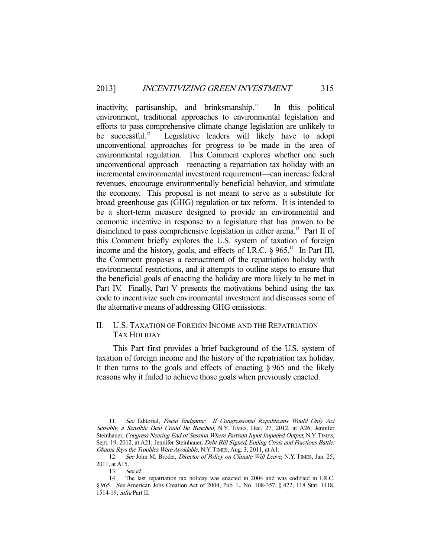inactivity, partisanship, and brinksmanship.<sup>11</sup> In this political environment, traditional approaches to environmental legislation and efforts to pass comprehensive climate change legislation are unlikely to be successful.<sup>12</sup> Legislative leaders will likely have to adopt unconventional approaches for progress to be made in the area of environmental regulation. This Comment explores whether one such unconventional approach—reenacting a repatriation tax holiday with an incremental environmental investment requirement—can increase federal revenues, encourage environmentally beneficial behavior, and stimulate the economy. This proposal is not meant to serve as a substitute for broad greenhouse gas (GHG) regulation or tax reform. It is intended to be a short-term measure designed to provide an environmental and economic incentive in response to a legislature that has proven to be disinclined to pass comprehensive legislation in either arena.<sup>13</sup> Part II of this Comment briefly explores the U.S. system of taxation of foreign income and the history, goals, and effects of I.R.C.  $\S 965$ .<sup>14</sup> In Part III, the Comment proposes a reenactment of the repatriation holiday with environmental restrictions, and it attempts to outline steps to ensure that the beneficial goals of enacting the holiday are more likely to be met in Part IV. Finally, Part V presents the motivations behind using the tax code to incentivize such environmental investment and discusses some of the alternative means of addressing GHG emissions.

## II. U.S. TAXATION OF FOREIGN INCOME AND THE REPATRIATION TAX HOLIDAY

 This Part first provides a brief background of the U.S. system of taxation of foreign income and the history of the repatriation tax holiday. It then turns to the goals and effects of enacting § 965 and the likely reasons why it failed to achieve those goals when previously enacted.

<sup>11.</sup> See Editorial, Fiscal Endgame: If Congressional Republicans Would Only Act Sensibly, a Sensible Deal Could Be Reached, N.Y. TIMES, Dec. 27, 2012, at A26; Jennifer Steinhauer, Congress Nearing End of Session Where Partisan Input Impeded Output, N.Y.TIMES, Sept. 19, 2012, at A21; Jennifer Steinhauer, *Debt Bill Signed, Ending Crisis and Fractious Battle:* Obama Says the Troubles Were Avoidable, N.Y.TIMES, Aug. 3, 2011, at A1.

<sup>12.</sup> See John M. Broder, *Director of Policy on Climate Will Leave*, N.Y. TIMES, Jan. 25, 2011, at A15.

 <sup>13.</sup> See id.

 <sup>14.</sup> The last repatriation tax holiday was enacted in 2004 and was codified in I.R.C. § 965. See American Jobs Creation Act of 2004, Pub. L. No. 108-357, § 422, 118 Stat. 1418, 1514-19; infra Part II.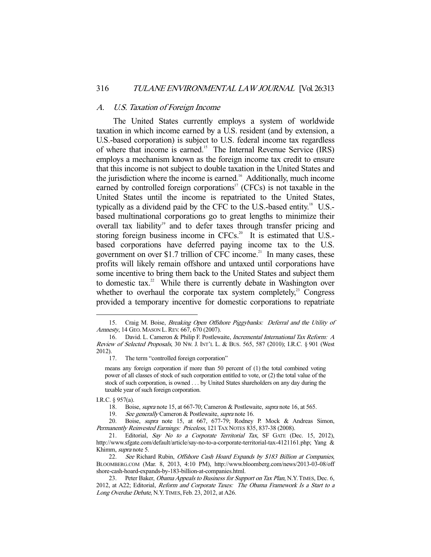#### A. U.S. Taxation of Foreign Income

 The United States currently employs a system of worldwide taxation in which income earned by a U.S. resident (and by extension, a U.S.-based corporation) is subject to U.S. federal income tax regardless of where that income is earned.15 The Internal Revenue Service (IRS) employs a mechanism known as the foreign income tax credit to ensure that this income is not subject to double taxation in the United States and the jurisdiction where the income is earned.<sup>16</sup> Additionally, much income earned by controlled foreign corporations<sup> $17$ </sup> (CFCs) is not taxable in the United States until the income is repatriated to the United States, typically as a dividend paid by the CFC to the U.S.-based entity.18 U.S. based multinational corporations go to great lengths to minimize their overall tax liability<sup>19</sup> and to defer taxes through transfer pricing and storing foreign business income in CFCs.<sup>20</sup> It is estimated that U.S.based corporations have deferred paying income tax to the U.S. government on over \$1.7 trillion of CFC income.<sup>21</sup> In many cases, these profits will likely remain offshore and untaxed until corporations have some incentive to bring them back to the United States and subject them to domestic tax.<sup>22</sup> While there is currently debate in Washington over whether to overhaul the corporate tax system completely, $2^3$  Congress provided a temporary incentive for domestic corporations to repatriate

 <sup>15.</sup> Craig M. Boise, Breaking Open Offshore Piggybanks: Deferral and the Utility of Amnesty, 14 GEO. MASON L. REV. 667, 670 (2007).

 <sup>16.</sup> David. L. Cameron & Philip F. Postlewaite, Incremental International Tax Reform: A Review of Selected Proposals, 30 NW. J. INT'L L. & BUS. 565, 587 (2010); I.R.C. § 901 (West 2012).

 <sup>17.</sup> The term "controlled foreign corporation"

means any foreign corporation if more than 50 percent of (1) the total combined voting power of all classes of stock of such corporation entitled to vote, or (2) the total value of the stock of such corporation, is owned . . . by United States shareholders on any day during the taxable year of such foreign corporation.

I.R.C. § 957(a).

 <sup>18.</sup> Boise, supra note 15, at 667-70; Cameron & Postlewaite, supra note 16, at 565.

<sup>19.</sup> See generally Cameron & Postlewaite, *supra* note 16.

 <sup>20.</sup> Boise, supra note 15, at 667, 677-79; Rodney P. Mock & Andreas Simon, Permanently Reinvested Earnings: Priceless, 121 TAX NOTES 835, 837-38 (2008).

<sup>21.</sup> Editorial, Say No to a Corporate Territorial Tax, SF GATE (Dec. 15, 2012), http://www.sfgate.com/default/article/say-no-to-a-corporate-territorial-tax-4121161.php; Yang & Khimm, supra note 5.

<sup>22.</sup> See Richard Rubin, Offshore Cash Hoard Expands by \$183 Billion at Companies, BLOOMBERG.COM (Mar. 8, 2013, 4:10 PM), http://www.bloomberg.com/news/2013-03-08/off shore-cash-hoard-expands-by-183-billion-at-companies.html.

<sup>23.</sup> Peter Baker, *Obama Appeals to Business for Support on Tax Plan*, N.Y. TIMES, Dec. 6, 2012, at A22; Editorial, Reform and Corporate Taxes: The Obama Framework Is a Start to a Long Overdue Debate, N.Y. TIMES, Feb. 23, 2012, at A26.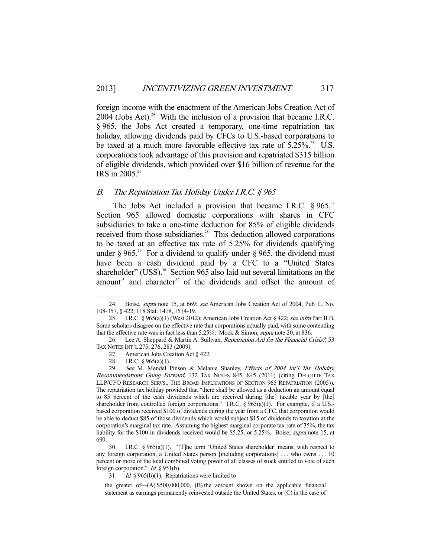foreign income with the enactment of the American Jobs Creation Act of 2004 (Jobs Act).<sup>24</sup> With the inclusion of a provision that became I.R.C. § 965, the Jobs Act created a temporary, one-time repatriation tax holiday, allowing dividends paid by CFCs to U.S.-based corporations to be taxed at a much more favorable effective tax rate of  $5.25\%$ .<sup>25</sup> U.S. corporations took advantage of this provision and repatriated \$315 billion of eligible dividends, which provided over \$16 billion of revenue for the IRS in 2005.26

## B. The Repatriation Tax Holiday Under I.R.C.  $\S$  965

The Jobs Act included a provision that became I.R.C.  $\S 965$ <sup>27</sup> Section 965 allowed domestic corporations with shares in CFC subsidiaries to take a one-time deduction for 85% of eligible dividends received from those subsidiaries.<sup>28</sup> This deduction allowed corporations to be taxed at an effective tax rate of 5.25% for dividends qualifying under § 965.<sup>29</sup> For a dividend to qualify under § 965, the dividend must have been a cash dividend paid by a CFC to a "United States shareholder" (USS). $30$  Section 965 also laid out several limitations on the amount<sup>31</sup> and character<sup>32</sup> of the dividends and offset the amount of

27. American Jobs Creation Act § 422.

 <sup>24.</sup> Boise, supra note 15, at 669; see American Jobs Creation Act of 2004, Pub. L. No. 108-357, § 422, 118 Stat. 1418, 1514-19.

<sup>25.</sup> I.R.C. § 965(a)(1) (West 2012); American Jobs Creation Act § 422; see infra Part II.B. Some scholars disagree on the effective rate that corporations actually paid, with some contending that the effective rate was in fact less than 5.25%. Mock & Simon, supra note 20, at 836.

<sup>26.</sup> Lee A. Sheppard & Martin A. Sullivan, Repatriation Aid for the Financial Crisis?, 53 TAX NOTES INT'L 275, 276, 283 (2009).

<sup>28.</sup> I.R.C. § 965(a)(1).<br>29. See M. Mendel 1

See M. Mendel Pinson & Melanie Shanley, Effects of 2004 Int'l Tax Holiday, Recommendations Going Forward, 132 TAX NOTES 845, 845 (2011) (citing DELOITTE TAX LLP/CFO RESEARCH SERVS., THE BROAD IMPLICATIONS OF SECTION 965 REPATRIATION (2005)). The repatriation tax holiday provided that "there shall be allowed as a deduction an amount equal to 85 percent of the cash dividends which are received during [the] taxable year by [the] shareholder from controlled foreign corporations." I.R.C. § 965(a)(1). For example, if a U.S.based corporation received \$100 of dividends during the year from a CFC, that corporation would be able to deduct \$85 of those dividends which would subject \$15 of dividends to taxation at the corporation's marginal tax rate. Assuming the highest marginal corporate tax rate of 35%, the tax liability for the \$100 in dividends received would be \$5.25, or 5.25%. Boise, supra note 15, at 690.

 <sup>30.</sup> I.R.C. § 965(a)(1). "[T]he term 'United States shareholder' means, with respect to any foreign corporation, a United States person [including corporations] . . . who owns . . . 10 percent or more of the total combined voting power of all classes of stock entitled to vote of such foreign corporation." *Id.* § 951(b).

<sup>31.</sup> *Id.* § 965(b)(1). Repatriations were limited to

the greater of  $-(A)$  \$500,000,000, (B) the amount shown on the applicable financial statement as earnings permanently reinvested outside the United States, or (C) in the case of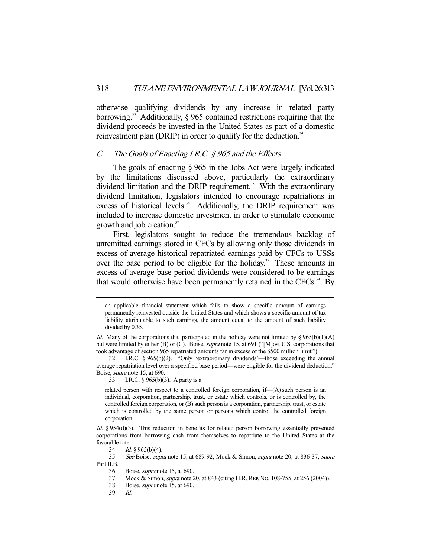otherwise qualifying dividends by any increase in related party borrowing.<sup>33</sup> Additionally,  $\S$  965 contained restrictions requiring that the dividend proceeds be invested in the United States as part of a domestic reinvestment plan (DRIP) in order to qualify for the deduction.<sup>34</sup>

## C. The Goals of Enacting I.R.C.  $\hat{g}$  965 and the Effects

 The goals of enacting § 965 in the Jobs Act were largely indicated by the limitations discussed above, particularly the extraordinary dividend limitation and the DRIP requirement.<sup>35</sup> With the extraordinary dividend limitation, legislators intended to encourage repatriations in excess of historical levels.<sup>36</sup> Additionally, the DRIP requirement was included to increase domestic investment in order to stimulate economic growth and job creation.<sup>37</sup>

 First, legislators sought to reduce the tremendous backlog of unremitted earnings stored in CFCs by allowing only those dividends in excess of average historical repatriated earnings paid by CFCs to USSs over the base period to be eligible for the holiday.<sup>38</sup> These amounts in excess of average base period dividends were considered to be earnings that would otherwise have been permanently retained in the CFCs.<sup>39</sup> By

33. I.R.C. § 965(b)(3). A party is a

related person with respect to a controlled foreign corporation, if—(A) such person is an individual, corporation, partnership, trust, or estate which controls, or is controlled by, the controlled foreign corporation, or (B) such person is a corporation, partnership, trust, or estate which is controlled by the same person or persons which control the controlled foreign corporation.

an applicable financial statement which fails to show a specific amount of earnings permanently reinvested outside the United States and which shows a specific amount of tax liability attributable to such earnings, the amount equal to the amount of such liability divided by 0.35.

Id. Many of the corporations that participated in the holiday were not limited by  $\S 965(b)(1)(A)$ but were limited by either (B) or (C). Boise, *supra* note 15, at 691 ("[M]ost U.S. corporations that took advantage of section 965 repatriated amounts far in excess of the \$500 million limit.").

 <sup>32.</sup> I.R.C. § 965(b)(2). "Only 'extraordinary dividends'—those exceeding the annual average repatriation level over a specified base period—were eligible for the dividend deduction." Boise, supra note 15, at 690.

Id. § 954(d)(3). This reduction in benefits for related person borrowing essentially prevented corporations from borrowing cash from themselves to repatriate to the United States at the favorable rate.

 <sup>34.</sup> Id. § 965(b)(4).

 <sup>35.</sup> See Boise, supra note 15, at 689-92; Mock & Simon, supra note 20, at 836-37; supra Part II.B.

<sup>36.</sup> Boise, *supra* note 15, at 690.<br>37. Mock & Simon, *supra* note 2

Mock & Simon, *supra* note 20, at 843 (citing H.R. REP. No. 108-755, at 256 (2004)).

 <sup>38.</sup> Boise, supra note 15, at 690.

 <sup>39.</sup> Id.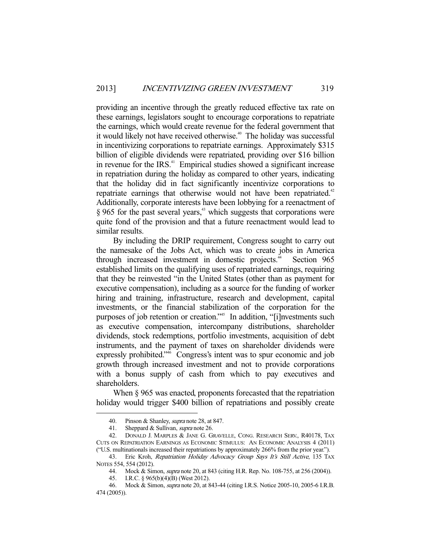providing an incentive through the greatly reduced effective tax rate on these earnings, legislators sought to encourage corporations to repatriate the earnings, which would create revenue for the federal government that it would likely not have received otherwise.<sup>40</sup> The holiday was successful in incentivizing corporations to repatriate earnings. Approximately \$315 billion of eligible dividends were repatriated, providing over \$16 billion in revenue for the IRS.<sup>41</sup> Empirical studies showed a significant increase in repatriation during the holiday as compared to other years, indicating that the holiday did in fact significantly incentivize corporations to repatriate earnings that otherwise would not have been repatriated.<sup>42</sup> Additionally, corporate interests have been lobbying for a reenactment of  $§$  965 for the past several years,<sup>43</sup> which suggests that corporations were quite fond of the provision and that a future reenactment would lead to similar results.

 By including the DRIP requirement, Congress sought to carry out the namesake of the Jobs Act, which was to create jobs in America through increased investment in domestic projects.<sup>44</sup> Section 965 established limits on the qualifying uses of repatriated earnings, requiring that they be reinvested "in the United States (other than as payment for executive compensation), including as a source for the funding of worker hiring and training, infrastructure, research and development, capital investments, or the financial stabilization of the corporation for the purposes of job retention or creation."45 In addition, "[i]nvestments such as executive compensation, intercompany distributions, shareholder dividends, stock redemptions, portfolio investments, acquisition of debt instruments, and the payment of taxes on shareholder dividends were expressly prohibited."<sup>46</sup> Congress's intent was to spur economic and job growth through increased investment and not to provide corporations with a bonus supply of cash from which to pay executives and shareholders.

When  $\S 965$  was enacted, proponents forecasted that the repatriation holiday would trigger \$400 billion of repatriations and possibly create

 <sup>40.</sup> Pinson & Shanley, supra note 28, at 847.

<sup>41.</sup> Sheppard & Sullivan, *supra* note 26.

 <sup>42.</sup> DONALD J. MARPLES & JANE G. GRAVELLE, CONG. RESEARCH SERV., R40178, TAX CUTS ON REPATRIATION EARNINGS AS ECONOMIC STIMULUS: AN ECONOMIC ANALYSIS 4 (2011) ("U.S. multinationals increased their repatriations by approximately 266% from the prior year.").

<sup>43.</sup> Eric Kroh, Repatriation Holiday Advocacy Group Says It's Still Active, 135 TAX NOTES 554, 554 (2012).

 <sup>44.</sup> Mock & Simon, supra note 20, at 843 (citing H.R. Rep. No. 108-755, at 256 (2004)).

 <sup>45.</sup> I.R.C. § 965(b)(4)(B) (West 2012).

 <sup>46.</sup> Mock & Simon, supra note 20, at 843-44 (citing I.R.S. Notice 2005-10, 2005-6 I.R.B. 474 (2005)).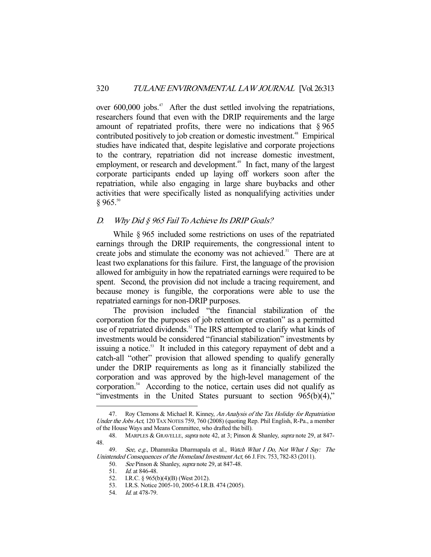over 600,000 jobs.<sup>47</sup> After the dust settled involving the repatriations, researchers found that even with the DRIP requirements and the large amount of repatriated profits, there were no indications that  $\S 965$ contributed positively to job creation or domestic investment.<sup>48</sup> Empirical studies have indicated that, despite legislative and corporate projections to the contrary, repatriation did not increase domestic investment, employment, or research and development.<sup>49</sup> In fact, many of the largest corporate participants ended up laying off workers soon after the repatriation, while also engaging in large share buybacks and other activities that were specifically listed as nonqualifying activities under  $§ 965.50$ 

## D. Why Did § 965 Fail To Achieve Its DRIP Goals?

 While § 965 included some restrictions on uses of the repatriated earnings through the DRIP requirements, the congressional intent to create jobs and stimulate the economy was not achieved.<sup>51</sup> There are at least two explanations for this failure. First, the language of the provision allowed for ambiguity in how the repatriated earnings were required to be spent. Second, the provision did not include a tracing requirement, and because money is fungible, the corporations were able to use the repatriated earnings for non-DRIP purposes.

 The provision included "the financial stabilization of the corporation for the purposes of job retention or creation" as a permitted use of repatriated dividends.<sup>52</sup> The IRS attempted to clarify what kinds of investments would be considered "financial stabilization" investments by issuing a notice.<sup>53</sup> It included in this category repayment of debt and a catch-all "other" provision that allowed spending to qualify generally under the DRIP requirements as long as it financially stabilized the corporation and was approved by the high-level management of the corporation.54 According to the notice, certain uses did not qualify as "investments in the United States pursuant to section 965(b)(4),"

51. Id. at 846-48.

<sup>47.</sup> Roy Clemons & Michael R. Kinney, An Analysis of the Tax Holiday for Repatriation Under the Jobs Act, 120 TAX NOTES 759, 760 (2008) (quoting Rep. Phil English, R-Pa., a member of the House Ways and Means Committee, who drafted the bill).

<sup>48.</sup> MARPLES & GRAVELLE, *supra* note 42, at 3; Pinson & Shanley, *supra* note 29, at 847-48.

 <sup>49.</sup> See, e.g., Dhammika Dharmapala et al., Watch What I Do, Not What I Say: The Unintended Consequences of the Homeland Investment Act, 66 J. FIN. 753, 782-83 (2011).

 <sup>50.</sup> See Pinson & Shanley, supra note 29, at 847-48.

 <sup>52.</sup> I.R.C. § 965(b)(4)(B) (West 2012).

 <sup>53.</sup> I.R.S. Notice 2005-10, 2005-6 I.R.B. 474 (2005).

 <sup>54.</sup> Id. at 478-79.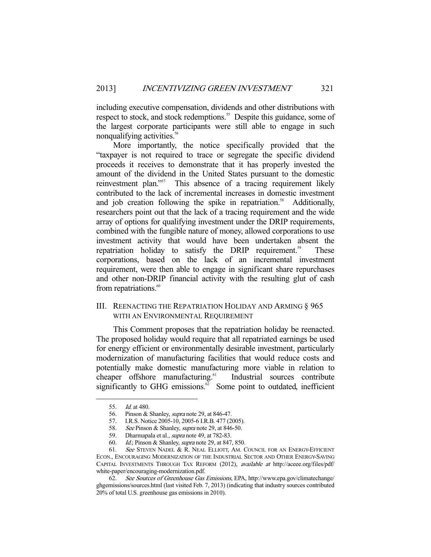including executive compensation, dividends and other distributions with respect to stock, and stock redemptions.<sup>55</sup> Despite this guidance, some of the largest corporate participants were still able to engage in such nonqualifying activities.<sup>56</sup>

 More importantly, the notice specifically provided that the "taxpayer is not required to trace or segregate the specific dividend proceeds it receives to demonstrate that it has properly invested the amount of the dividend in the United States pursuant to the domestic reinvestment plan."<sup>57</sup> This absence of a tracing requirement likely contributed to the lack of incremental increases in domestic investment and job creation following the spike in repatriation.<sup>58</sup> Additionally, researchers point out that the lack of a tracing requirement and the wide array of options for qualifying investment under the DRIP requirements, combined with the fungible nature of money, allowed corporations to use investment activity that would have been undertaken absent the repatriation holiday to satisfy the DRIP requirement.<sup>59</sup> These corporations, based on the lack of an incremental investment requirement, were then able to engage in significant share repurchases and other non-DRIP financial activity with the resulting glut of cash from repatriations.<sup>60</sup>

## III. REENACTING THE REPATRIATION HOLIDAY AND ARMING § 965 WITH AN ENVIRONMENTAL REQUIREMENT

 This Comment proposes that the repatriation holiday be reenacted. The proposed holiday would require that all repatriated earnings be used for energy efficient or environmentally desirable investment, particularly modernization of manufacturing facilities that would reduce costs and potentially make domestic manufacturing more viable in relation to cheaper offshore manufacturing.<sup>61</sup> Industrial sources contribute significantly to GHG emissions. $62$  Some point to outdated, inefficient

 <sup>55.</sup> Id. at 480.

<sup>56.</sup> Pinson & Shanley, *supra* note 29, at 846-47.

 <sup>57.</sup> I.R.S. Notice 2005-10, 2005-6 I.R.B. 477 (2005).

<sup>58.</sup> *See* Pinson & Shanley, *supra* note 29, at 846-50.

<sup>59.</sup> Dharmapala et al., *supra* note 49, at 782-83.

 <sup>60.</sup> Id.; Pinson & Shanley, supra note 29, at 847, 850.

 <sup>61.</sup> See STEVEN NADEL & R. NEAL ELLIOTT, AM. COUNCIL FOR AN ENERGY-EFFICIENT ECON., ENCOURAGING MODERNIZATION OF THE INDUSTRIAL SECTOR AND OTHER ENERGY-SAVING CAPITAL INVESTMENTS THROUGH TAX REFORM (2012), available at http://aceee.org/files/pdf/ white-paper/encouraging-modernization.pdf.

 <sup>62.</sup> See Sources of Greenhouse Gas Emissions, EPA, http://www.epa.gov/climatechange/ ghgemissions/sources.html (last visited Feb. 7, 2013) (indicating that industry sources contributed 20% of total U.S. greenhouse gas emissions in 2010).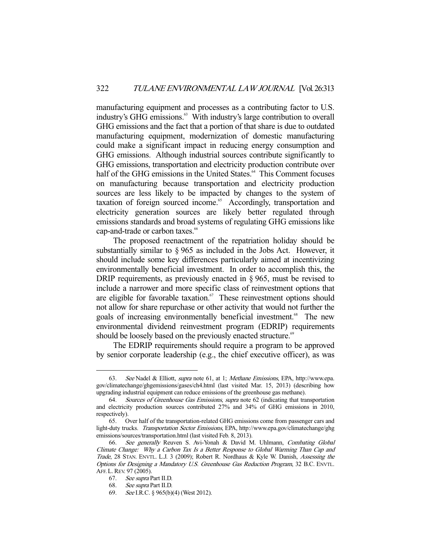manufacturing equipment and processes as a contributing factor to U.S. industry's GHG emissions.<sup>63</sup> With industry's large contribution to overall GHG emissions and the fact that a portion of that share is due to outdated manufacturing equipment, modernization of domestic manufacturing could make a significant impact in reducing energy consumption and GHG emissions. Although industrial sources contribute significantly to GHG emissions, transportation and electricity production contribute over half of the GHG emissions in the United States.<sup>64</sup> This Comment focuses on manufacturing because transportation and electricity production sources are less likely to be impacted by changes to the system of taxation of foreign sourced income.<sup>65</sup> Accordingly, transportation and electricity generation sources are likely better regulated through emissions standards and broad systems of regulating GHG emissions like cap-and-trade or carbon taxes.<sup>66</sup>

 The proposed reenactment of the repatriation holiday should be substantially similar to § 965 as included in the Jobs Act. However, it should include some key differences particularly aimed at incentivizing environmentally beneficial investment. In order to accomplish this, the DRIP requirements, as previously enacted in § 965, must be revised to include a narrower and more specific class of reinvestment options that are eligible for favorable taxation. $67$  These reinvestment options should not allow for share repurchase or other activity that would not further the goals of increasing environmentally beneficial investment.<sup>68</sup> The new environmental dividend reinvestment program (EDRIP) requirements should be loosely based on the previously enacted structure.<sup>69</sup>

 The EDRIP requirements should require a program to be approved by senior corporate leadership (e.g., the chief executive officer), as was

<sup>63.</sup> See Nadel & Elliott, supra note 61, at 1; Methane Emissions, EPA, http://www.epa. gov/climatechange/ghgemissions/gases/ch4.html (last visited Mar. 15, 2013) (describing how upgrading industrial equipment can reduce emissions of the greenhouse gas methane).

 <sup>64.</sup> Sources of Greenhouse Gas Emissions, supra note 62 (indicating that transportation and electricity production sources contributed 27% and 34% of GHG emissions in 2010, respectively).

 <sup>65.</sup> Over half of the transportation-related GHG emissions come from passenger cars and light-duty trucks. Transportation Sector Emissions, EPA, http://www.epa.gov/climatechange/ghg emissions/sources/transportation.html (last visited Feb. 8, 2013).

 <sup>66.</sup> See generally Reuven S. Avi-Yonah & David M. Uhlmann, Combating Global Climate Change: Why a Carbon Tax Is a Better Response to Global Warming Than Cap and Trade, 28 STAN. ENVTL. L.J. 3 (2009); Robert R. Nordhaus & Kyle W. Danish, Assessing the Options for Designing a Mandatory U.S. Greenhouse Gas Reduction Program, 32 B.C. ENVTL. AFF. L.REV. 97 (2005).

 <sup>67.</sup> See supra Part II.D.

 <sup>68.</sup> See supra Part II.D.

 <sup>69.</sup> See I.R.C. § 965(b)(4) (West 2012).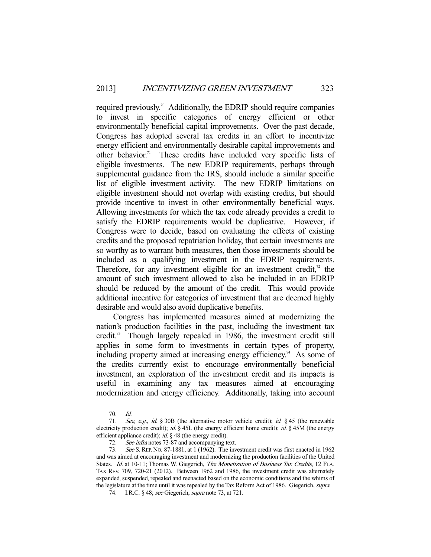required previously.70 Additionally, the EDRIP should require companies to invest in specific categories of energy efficient or other environmentally beneficial capital improvements. Over the past decade, Congress has adopted several tax credits in an effort to incentivize energy efficient and environmentally desirable capital improvements and other behavior.<sup>71</sup> These credits have included very specific lists of eligible investments. The new EDRIP requirements, perhaps through supplemental guidance from the IRS, should include a similar specific list of eligible investment activity. The new EDRIP limitations on eligible investment should not overlap with existing credits, but should provide incentive to invest in other environmentally beneficial ways. Allowing investments for which the tax code already provides a credit to satisfy the EDRIP requirements would be duplicative. However, if Congress were to decide, based on evaluating the effects of existing credits and the proposed repatriation holiday, that certain investments are so worthy as to warrant both measures, then those investments should be included as a qualifying investment in the EDRIP requirements. Therefore, for any investment eligible for an investment credit, $^2$  the amount of such investment allowed to also be included in an EDRIP should be reduced by the amount of the credit. This would provide additional incentive for categories of investment that are deemed highly desirable and would also avoid duplicative benefits.

 Congress has implemented measures aimed at modernizing the nation's production facilities in the past, including the investment tax credit.<sup>73</sup> Though largely repealed in 1986, the investment credit still applies in some form to investments in certain types of property, including property aimed at increasing energy efficiency.<sup>74</sup> As some of the credits currently exist to encourage environmentally beneficial investment, an exploration of the investment credit and its impacts is useful in examining any tax measures aimed at encouraging modernization and energy efficiency. Additionally, taking into account

 <sup>70.</sup> Id.

 <sup>71.</sup> See, e.g., id. § 30B (the alternative motor vehicle credit); id. § 45 (the renewable electricity production credit); id. § 45L (the energy efficient home credit); id. § 45M (the energy efficient appliance credit); *id.* § 48 (the energy credit).

 <sup>72.</sup> See infra notes 73-87 and accompanying text.

<sup>73.</sup> See S. REP. No. 87-1881, at 1 (1962). The investment credit was first enacted in 1962 and was aimed at encouraging investment and modernizing the production facilities of the United States. Id. at 10-11; Thomas W. Giegerich, The Monetization of Business Tax Credits, 12 FLA. TAX REV. 709, 720-21 (2012). Between 1962 and 1986, the investment credit was alternately expanded, suspended, repealed and reenacted based on the economic conditions and the whims of the legislature at the time until it was repealed by the Tax Reform Act of 1986. Giegerich, supra.

 <sup>74.</sup> I.R.C. § 48; see Giegerich, supra note 73, at 721.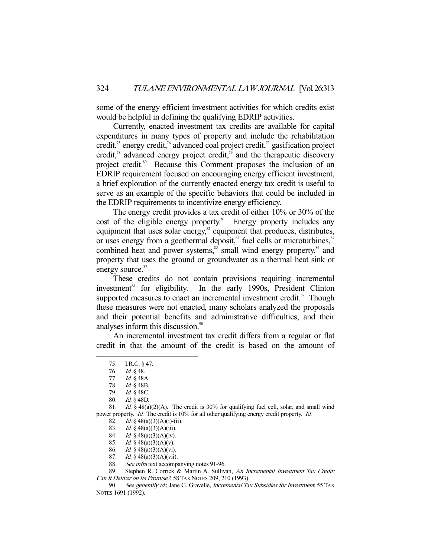some of the energy efficient investment activities for which credits exist would be helpful in defining the qualifying EDRIP activities.

 Currently, enacted investment tax credits are available for capital expenditures in many types of property and include the rehabilitation credit,<sup>75</sup> energy credit,<sup>76</sup> advanced coal project credit,<sup>77</sup> gasification project credit, $\lambda$ <sup>8</sup> advanced energy project credit, $\lambda$ <sup>9</sup> and the therapeutic discovery project credit.<sup>80</sup> Because this Comment proposes the inclusion of an EDRIP requirement focused on encouraging energy efficient investment, a brief exploration of the currently enacted energy tax credit is useful to serve as an example of the specific behaviors that could be included in the EDRIP requirements to incentivize energy efficiency.

 The energy credit provides a tax credit of either 10% or 30% of the cost of the eligible energy property.<sup>81</sup> Energy property includes any equipment that uses solar energy, $\frac{82}{3}$  equipment that produces, distributes, or uses energy from a geothermal deposit,<sup>83</sup> fuel cells or microturbines,<sup>84</sup> combined heat and power systems,<sup>85</sup> small wind energy property,<sup>86</sup> and property that uses the ground or groundwater as a thermal heat sink or energy source.<sup>87</sup>

 These credits do not contain provisions requiring incremental investment<sup>88</sup> for eligibility. In the early 1990s, President Clinton supported measures to enact an incremental investment credit.<sup>89</sup> Though these measures were not enacted, many scholars analyzed the proposals and their potential benefits and administrative difficulties, and their analyses inform this discussion.<sup>90</sup>

 An incremental investment tax credit differs from a regular or flat credit in that the amount of the credit is based on the amount of

 <sup>75.</sup> I.R.C. § 47.

 <sup>76.</sup> Id. § 48.

 <sup>77.</sup> Id. § 48A.

 <sup>78.</sup> Id. § 48B.

 <sup>79.</sup> Id. § 48C.

 <sup>80.</sup> Id. § 48D.

<sup>81.</sup> *Id.* § 48(a)(2)(A). The credit is 30% for qualifying fuel cell, solar, and small wind power property. Id. The credit is 10% for all other qualifying energy credit property. Id.

<sup>82.</sup> *Id.* § 48(a)(3)(A)(i)-(ii).

<sup>83.</sup> *Id.* § 48(a)(3)(A)(iii).

<sup>84.</sup> *Id.* § 48(a)(3)(A)(iv).

<sup>85.</sup> *Id.* § 48(a)(3)(A)(v).

<sup>86.</sup> Id.  $\frac{3}{9}$  48(a)(3)(A)(vi).

<sup>87.</sup> Id.  $\frac{3}{9}$  48(a)(3)(A)(vii).

<sup>88.</sup> See infra text accompanying notes 91-96.

<sup>89.</sup> Stephen R. Corrick & Martin A. Sullivan, An Incremental Investment Tax Credit: Can It Deliver on Its Promise?, 58 TAX NOTES 209, 210 (1993).

<sup>90.</sup> See generally id.; Jane G. Gravelle, Incremental Tax Subsidies for Investment, 55 TAX NOTES 1691 (1992).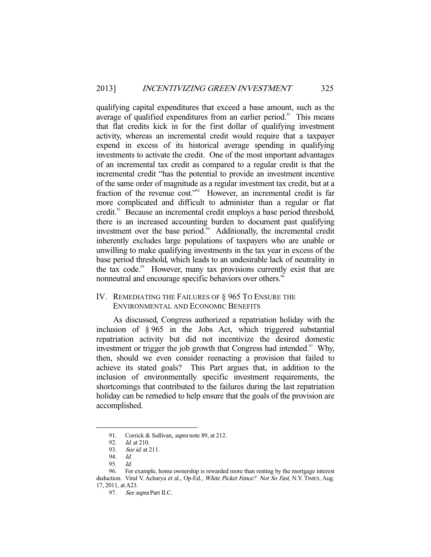qualifying capital expenditures that exceed a base amount, such as the average of qualified expenditures from an earlier period.<sup>91</sup> This means that flat credits kick in for the first dollar of qualifying investment activity, whereas an incremental credit would require that a taxpayer expend in excess of its historical average spending in qualifying investments to activate the credit. One of the most important advantages of an incremental tax credit as compared to a regular credit is that the incremental credit "has the potential to provide an investment incentive of the same order of magnitude as a regular investment tax credit, but at a fraction of the revenue cost."<sup>92</sup> However, an incremental credit is far more complicated and difficult to administer than a regular or flat credit.<sup>93</sup> Because an incremental credit employs a base period threshold, there is an increased accounting burden to document past qualifying investment over the base period.<sup>94</sup> Additionally, the incremental credit inherently excludes large populations of taxpayers who are unable or unwilling to make qualifying investments in the tax year in excess of the base period threshold, which leads to an undesirable lack of neutrality in the tax code.<sup>95</sup> However, many tax provisions currently exist that are nonneutral and encourage specific behaviors over others.<sup>96</sup>

## IV. REMEDIATING THE FAILURES OF § 965 TO ENSURE THE ENVIRONMENTAL AND ECONOMIC BENEFITS

 As discussed, Congress authorized a repatriation holiday with the inclusion of § 965 in the Jobs Act, which triggered substantial repatriation activity but did not incentivize the desired domestic investment or trigger the job growth that Congress had intended. $97$  Why, then, should we even consider reenacting a provision that failed to achieve its stated goals? This Part argues that, in addition to the inclusion of environmentally specific investment requirements, the shortcomings that contributed to the failures during the last repatriation holiday can be remedied to help ensure that the goals of the provision are accomplished.

<sup>91.</sup> Corrick & Sullivan, *supra* note 89, at 212.<br>92. *Id.* at 210.

 $Id.$  at 210.

<sup>93.</sup> See id. at 211.

 <sup>94.</sup> Id.

 <sup>95.</sup> Id.

 <sup>96.</sup> For example, home ownership is rewarded more than renting by the mortgage interest deduction. Viral V. Acharya et al., Op-Ed., White Picket Fence? Not So Fast, N.Y. TIMES, Aug. 17, 2011, at A23.

<sup>97.</sup> See supra Part II.C.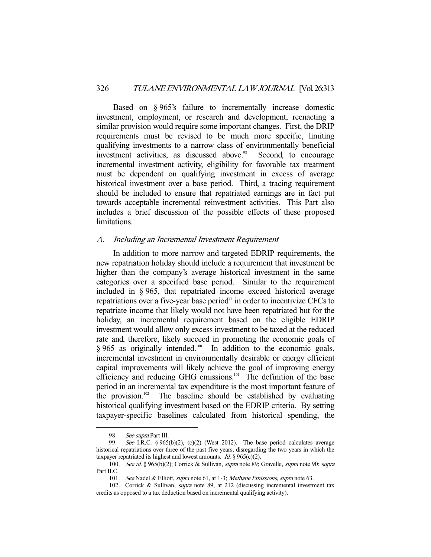Based on § 965's failure to incrementally increase domestic investment, employment, or research and development, reenacting a similar provision would require some important changes. First, the DRIP requirements must be revised to be much more specific, limiting qualifying investments to a narrow class of environmentally beneficial investment activities, as discussed above.<sup>98</sup> Second, to encourage incremental investment activity, eligibility for favorable tax treatment must be dependent on qualifying investment in excess of average historical investment over a base period. Third, a tracing requirement should be included to ensure that repatriated earnings are in fact put towards acceptable incremental reinvestment activities. This Part also includes a brief discussion of the possible effects of these proposed limitations.

## A. Including an Incremental Investment Requirement

 In addition to more narrow and targeted EDRIP requirements, the new repatriation holiday should include a requirement that investment be higher than the company's average historical investment in the same categories over a specified base period. Similar to the requirement included in § 965, that repatriated income exceed historical average repatriations over a five-year base period<sup>99</sup> in order to incentivize CFCs to repatriate income that likely would not have been repatriated but for the holiday, an incremental requirement based on the eligible EDRIP investment would allow only excess investment to be taxed at the reduced rate and, therefore, likely succeed in promoting the economic goals of § 965 as originally intended.<sup>100</sup> In addition to the economic goals, incremental investment in environmentally desirable or energy efficient capital improvements will likely achieve the goal of improving energy efficiency and reducing GHG emissions.<sup>101</sup> The definition of the base period in an incremental tax expenditure is the most important feature of the provision.<sup>102</sup> The baseline should be established by evaluating historical qualifying investment based on the EDRIP criteria. By setting taxpayer-specific baselines calculated from historical spending, the

<sup>98.</sup> See supra Part III.<br>99. See I.R.C. § 965

See I.R.C. §  $965(b)(2)$ , (c)(2) (West 2012). The base period calculates average historical repatriations over three of the past five years, disregarding the two years in which the taxpayer repatriated its highest and lowest amounts. Id. §  $965(c)(2)$ .

<sup>100.</sup> See id. § 965(b)(2); Corrick & Sullivan, supra note 89; Gravelle, supra note 90; supra Part II.C.

<sup>101.</sup> See Nadel & Elliott, supra note 61, at 1-3; Methane Emissions, supra note 63.

 <sup>102.</sup> Corrick & Sullivan, supra note 89, at 212 (discussing incremental investment tax credits as opposed to a tax deduction based on incremental qualifying activity).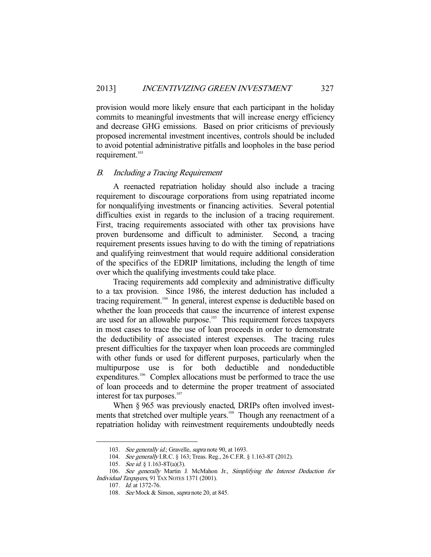provision would more likely ensure that each participant in the holiday commits to meaningful investments that will increase energy efficiency and decrease GHG emissions. Based on prior criticisms of previously proposed incremental investment incentives, controls should be included to avoid potential administrative pitfalls and loopholes in the base period requirement.<sup>103</sup>

#### B. Including a Tracing Requirement

 A reenacted repatriation holiday should also include a tracing requirement to discourage corporations from using repatriated income for nonqualifying investments or financing activities. Several potential difficulties exist in regards to the inclusion of a tracing requirement. First, tracing requirements associated with other tax provisions have proven burdensome and difficult to administer. Second, a tracing requirement presents issues having to do with the timing of repatriations and qualifying reinvestment that would require additional consideration of the specifics of the EDRIP limitations, including the length of time over which the qualifying investments could take place.

 Tracing requirements add complexity and administrative difficulty to a tax provision. Since 1986, the interest deduction has included a tracing requirement.<sup>104</sup> In general, interest expense is deductible based on whether the loan proceeds that cause the incurrence of interest expense are used for an allowable purpose.<sup>105</sup> This requirement forces taxpayers in most cases to trace the use of loan proceeds in order to demonstrate the deductibility of associated interest expenses. The tracing rules present difficulties for the taxpayer when loan proceeds are commingled with other funds or used for different purposes, particularly when the multipurpose use is for both deductible and nondeductible expenditures.<sup>106</sup> Complex allocations must be performed to trace the use of loan proceeds and to determine the proper treatment of associated interest for tax purposes.<sup>107</sup>

When § 965 was previously enacted, DRIPs often involved investments that stretched over multiple years.<sup>108</sup> Though any reenactment of a repatriation holiday with reinvestment requirements undoubtedly needs

<sup>103.</sup> See generally id.; Gravelle, supra note 90, at 1693.

<sup>104.</sup> See generally I.R.C. § 163; Treas. Reg., 26 C.F.R. § 1.163-8T (2012).

<sup>105.</sup> *See id.* § 1.163-8T(a)(3).

<sup>106.</sup> See generally Martin J. McMahon Jr., Simplifying the Interest Deduction for Individual Taxpayers, 91 TAX NOTES 1371 (2001).

 <sup>107.</sup> Id. at 1372-76.

<sup>108.</sup> See Mock & Simon, *supra* note 20, at 845.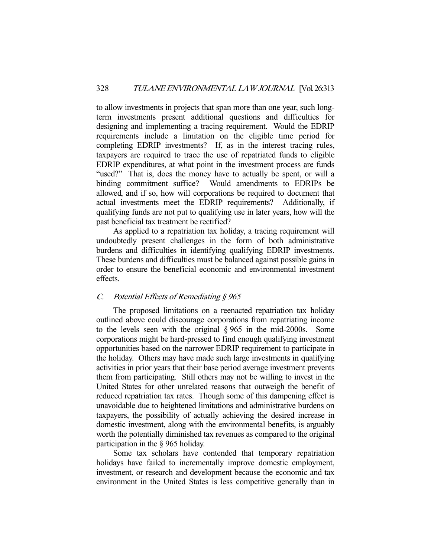to allow investments in projects that span more than one year, such longterm investments present additional questions and difficulties for designing and implementing a tracing requirement. Would the EDRIP requirements include a limitation on the eligible time period for completing EDRIP investments? If, as in the interest tracing rules, taxpayers are required to trace the use of repatriated funds to eligible EDRIP expenditures, at what point in the investment process are funds "used?" That is, does the money have to actually be spent, or will a binding commitment suffice? Would amendments to EDRIPs be allowed, and if so, how will corporations be required to document that actual investments meet the EDRIP requirements? Additionally, if qualifying funds are not put to qualifying use in later years, how will the past beneficial tax treatment be rectified?

 As applied to a repatriation tax holiday, a tracing requirement will undoubtedly present challenges in the form of both administrative burdens and difficulties in identifying qualifying EDRIP investments. These burdens and difficulties must be balanced against possible gains in order to ensure the beneficial economic and environmental investment effects.

## C. Potential Effects of Remediating  $§$  965

 The proposed limitations on a reenacted repatriation tax holiday outlined above could discourage corporations from repatriating income to the levels seen with the original § 965 in the mid-2000s. Some corporations might be hard-pressed to find enough qualifying investment opportunities based on the narrower EDRIP requirement to participate in the holiday. Others may have made such large investments in qualifying activities in prior years that their base period average investment prevents them from participating. Still others may not be willing to invest in the United States for other unrelated reasons that outweigh the benefit of reduced repatriation tax rates. Though some of this dampening effect is unavoidable due to heightened limitations and administrative burdens on taxpayers, the possibility of actually achieving the desired increase in domestic investment, along with the environmental benefits, is arguably worth the potentially diminished tax revenues as compared to the original participation in the § 965 holiday.

 Some tax scholars have contended that temporary repatriation holidays have failed to incrementally improve domestic employment, investment, or research and development because the economic and tax environment in the United States is less competitive generally than in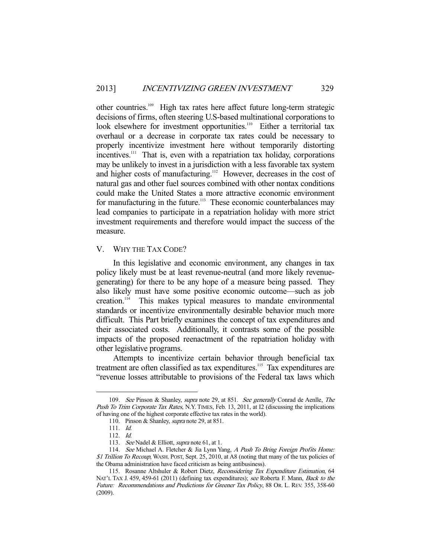other countries.109 High tax rates here affect future long-term strategic decisions of firms, often steering U.S-based multinational corporations to look elsewhere for investment opportunities.<sup>110</sup> Either a territorial tax overhaul or a decrease in corporate tax rates could be necessary to properly incentivize investment here without temporarily distorting incentives.<sup>111</sup> That is, even with a repatriation tax holiday, corporations may be unlikely to invest in a jurisdiction with a less favorable tax system and higher costs of manufacturing.<sup>112</sup> However, decreases in the cost of natural gas and other fuel sources combined with other nontax conditions could make the United States a more attractive economic environment for manufacturing in the future.<sup>113</sup> These economic counterbalances may lead companies to participate in a repatriation holiday with more strict investment requirements and therefore would impact the success of the measure.

#### V. WHY THE TAX CODE?

 In this legislative and economic environment, any changes in tax policy likely must be at least revenue-neutral (and more likely revenuegenerating) for there to be any hope of a measure being passed. They also likely must have some positive economic outcome—such as job creation.<sup>114</sup> This makes typical measures to mandate environmental standards or incentivize environmentally desirable behavior much more difficult. This Part briefly examines the concept of tax expenditures and their associated costs. Additionally, it contrasts some of the possible impacts of the proposed reenactment of the repatriation holiday with other legislative programs.

 Attempts to incentivize certain behavior through beneficial tax treatment are often classified as tax expenditures.<sup>115</sup> Tax expenditures are "revenue losses attributable to provisions of the Federal tax laws which

<sup>109.</sup> See Pinson & Shanley, supra note 29, at 851. See generally Conrad de Aenlle, The Push To Trim Corporate Tax Rates, N.Y. TIMES, Feb. 13, 2011, at I2 (discussing the implications of having one of the highest corporate effective tax rates in the world).

<sup>110.</sup> Pinson & Shanley, *supra* note 29, at 851.

 <sup>111.</sup> Id.

 <sup>112.</sup> Id.

<sup>113.</sup> See Nadel & Elliott, supra note 61, at 1.

<sup>114.</sup> See Michael A. Fletcher & Jia Lynn Yang, A Push To Bring Foreign Profits Home: \$1 Trillion To Recoup, WASH. POST, Sept. 25, 2010, at A8 (noting that many of the tax policies of the Obama administration have faced criticism as being antibusiness).

 <sup>115.</sup> Rosanne Altshuler & Robert Dietz, Reconsidering Tax Expenditure Estimation, 64 NAT'L TAX J. 459, 459-61 (2011) (defining tax expenditures); see Roberta F. Mann, Back to the Future: Recommendations and Predictions for Greener Tax Policy, 88 Or. L. REV. 355, 358-60 (2009).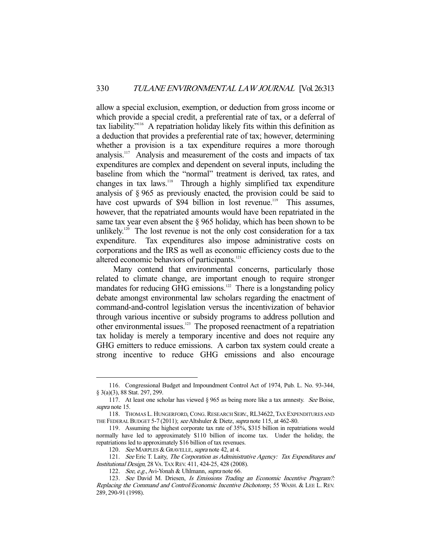allow a special exclusion, exemption, or deduction from gross income or which provide a special credit, a preferential rate of tax, or a deferral of tax liability."116 A repatriation holiday likely fits within this definition as a deduction that provides a preferential rate of tax; however, determining whether a provision is a tax expenditure requires a more thorough analysis.117 Analysis and measurement of the costs and impacts of tax expenditures are complex and dependent on several inputs, including the baseline from which the "normal" treatment is derived, tax rates, and changes in tax laws.118 Through a highly simplified tax expenditure analysis of § 965 as previously enacted, the provision could be said to have cost upwards of \$94 billion in lost revenue.<sup>119</sup> This assumes, however, that the repatriated amounts would have been repatriated in the same tax year even absent the § 965 holiday, which has been shown to be unlikely.<sup>120</sup> The lost revenue is not the only cost consideration for a tax expenditure. Tax expenditures also impose administrative costs on corporations and the IRS as well as economic efficiency costs due to the altered economic behaviors of participants.<sup>121</sup>

 Many contend that environmental concerns, particularly those related to climate change, are important enough to require stronger mandates for reducing  $\overrightarrow{GHG}$  emissions.<sup>122</sup> There is a longstanding policy debate amongst environmental law scholars regarding the enactment of command-and-control legislation versus the incentivization of behavior through various incentive or subsidy programs to address pollution and other environmental issues.123 The proposed reenactment of a repatriation tax holiday is merely a temporary incentive and does not require any GHG emitters to reduce emissions. A carbon tax system could create a strong incentive to reduce GHG emissions and also encourage

 <sup>116.</sup> Congressional Budget and Impoundment Control Act of 1974, Pub. L. No. 93-344, § 3(a)(3), 88 Stat. 297, 299.

 <sup>117.</sup> At least one scholar has viewed § 965 as being more like a tax amnesty. See Boise, supra note 15.

 <sup>118.</sup> THOMAS L. HUNGERFORD, CONG.RESEARCH SERV., RL34622, TAX EXPENDITURES AND THE FEDERAL BUDGET 5-7 (2011); see Altshuler & Dietz, supra note 115, at 462-80.

 <sup>119.</sup> Assuming the highest corporate tax rate of 35%, \$315 billion in repatriations would normally have led to approximately \$110 billion of income tax. Under the holiday, the repatriations led to approximately \$16 billion of tax revenues.

<sup>120.</sup> See MARPLES & GRAVELLE, supra note 42, at 4.

<sup>121.</sup> See Eric T. Laity, The Corporation as Administrative Agency: Tax Expenditures and Institutional Design, 28 VA.TAX REV. 411, 424-25, 428 (2008).

<sup>122.</sup> See, e.g., Avi-Yonah & Uhlmann, supra note 66.

<sup>123.</sup> See David M. Driesen, Is Emissions Trading an Economic Incentive Program?: Replacing the Command and Control/Economic Incentive Dichotomy, 55 WASH. & LEE L. REV. 289, 290-91 (1998).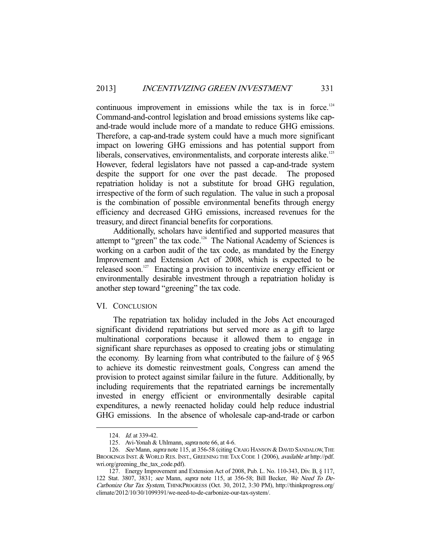continuous improvement in emissions while the tax is in force.<sup>124</sup> Command-and-control legislation and broad emissions systems like capand-trade would include more of a mandate to reduce GHG emissions. Therefore, a cap-and-trade system could have a much more significant impact on lowering GHG emissions and has potential support from liberals, conservatives, environmentalists, and corporate interests alike.<sup>125</sup> However, federal legislators have not passed a cap-and-trade system despite the support for one over the past decade. The proposed repatriation holiday is not a substitute for broad GHG regulation, irrespective of the form of such regulation. The value in such a proposal is the combination of possible environmental benefits through energy efficiency and decreased GHG emissions, increased revenues for the treasury, and direct financial benefits for corporations.

 Additionally, scholars have identified and supported measures that attempt to "green" the tax code.<sup>126</sup> The National Academy of Sciences is working on a carbon audit of the tax code, as mandated by the Energy Improvement and Extension Act of 2008, which is expected to be released soon.<sup>127</sup> Enacting a provision to incentivize energy efficient or environmentally desirable investment through a repatriation holiday is another step toward "greening" the tax code.

## VI. CONCLUSION

 The repatriation tax holiday included in the Jobs Act encouraged significant dividend repatriations but served more as a gift to large multinational corporations because it allowed them to engage in significant share repurchases as opposed to creating jobs or stimulating the economy. By learning from what contributed to the failure of  $\S 965$ to achieve its domestic reinvestment goals, Congress can amend the provision to protect against similar failure in the future. Additionally, by including requirements that the repatriated earnings be incrementally invested in energy efficient or environmentally desirable capital expenditures, a newly reenacted holiday could help reduce industrial GHG emissions. In the absence of wholesale cap-and-trade or carbon

 <sup>124.</sup> Id. at 339-42.

<sup>125.</sup> Avi-Yonah & Uhlmann, *supra* note 66, at 4-6.

<sup>126.</sup> See Mann, supra note 115, at 356-58 (citing CRAIG HANSON & DAVID SANDALOW, THE BROOKINGS INST. & WORLD RES. INST., GREENING THE TAX CODE 1 (2006), available at http://pdf. wri.org/greening\_the\_tax\_code.pdf).

 <sup>127.</sup> Energy Improvement and Extension Act of 2008, Pub. L. No. 110-343, Div. B, § 117, 122 Stat. 3807, 3831; see Mann, supra note 115, at 356-58; Bill Becker, We Need To De-Carbonize Our Tax System, THINKPROGRESS (Oct. 30, 2012, 3:30 PM), http://thinkprogress.org/ climate/2012/10/30/1099391/we-need-to-de-carbonize-our-tax-system/.